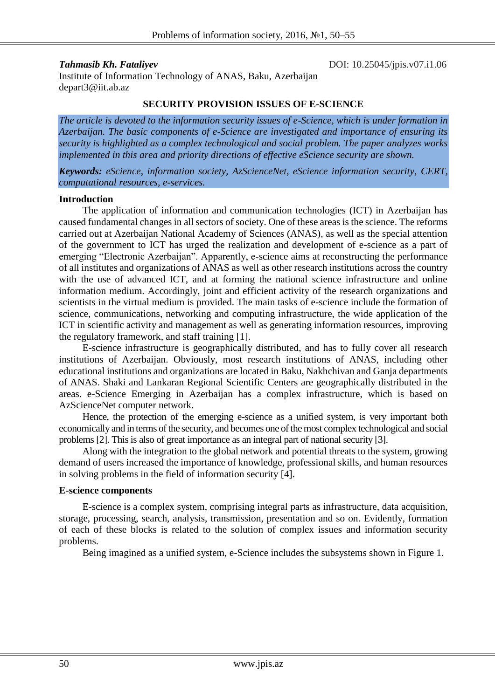*Tahmasib Kh. Fataliyev* DOI: 10.25045/jpis.v07.i1.06 Institute of Information Technology of ANAS, Baku, Azerbaijan depart3@iit.ab.az

#### **SECURITY PROVISION ISSUES OF E-SCIENCE**

*The article is devoted to the information security issues of e-Science, which is under formation in Azerbaijan. The basic components of e-Science are investigated and importance of ensuring its security is highlighted as a complex technological and social problem. The paper analyzes works implemented in this area and priority directions of effective eScience security are shown.*

*Keywords: eScience, information society, AzScienceNet, eScience information security, CERT, computational resources, e-services.*

#### **Introduction**

The application of information and communication technologies (ICT) in Azerbaijan has caused fundamental changes in all sectors of society. One of these areas is the science. The reforms carried out at Azerbaijan National Academy of Sciences (ANAS), as well as the special attention of the government to ICT has urged the realization and development of e-science as a part of emerging "Electronic Azerbaijan". Apparently, e-science aims at reconstructing the performance of all institutes and organizations of ANAS as well as other research institutions across the country with the use of advanced ICT, and at forming the national science infrastructure and online information medium. Accordingly, joint and efficient activity of the research organizations and scientists in the virtual medium is provided. The main tasks of e-science include the formation of science, communications, networking and computing infrastructure, the wide application of the ICT in scientific activity and management as well as generating information resources, improving the regulatory framework, and staff training [1].

E-science infrastructure is geographically distributed, and has to fully cover all research institutions of Azerbaijan. Obviously, most research institutions of ANAS, including other educational institutions and organizations are located in Baku, Nakhchivan and Ganja departments of ANAS. Shaki and Lankaran Regional Scientific Centers are geographically distributed in the areas. e-Science Emerging in Azerbaijan has a complex infrastructure, which is based on AzScienceNet computer network.

Hence, the protection of the emerging e-science as a unified system, is very important both economically and in terms of the security, and becomes one of the most complex technological and social problems [2]. This is also of great importance as an integral part of national security [3].

Along with the integration to the global network and potential threats to the system, growing demand of users increased the importance of knowledge, professional skills, and human resources in solving problems in the field of information security [4].

#### **E-science components**

E-science is a complex system, comprising integral parts as infrastructure, data acquisition, storage, processing, search, analysis, transmission, presentation and so on. Evidently, formation of each of these blocks is related to the solution of complex issues and information security problems.

Being imagined as a unified system, e-Science includes the subsystems shown in Figure 1.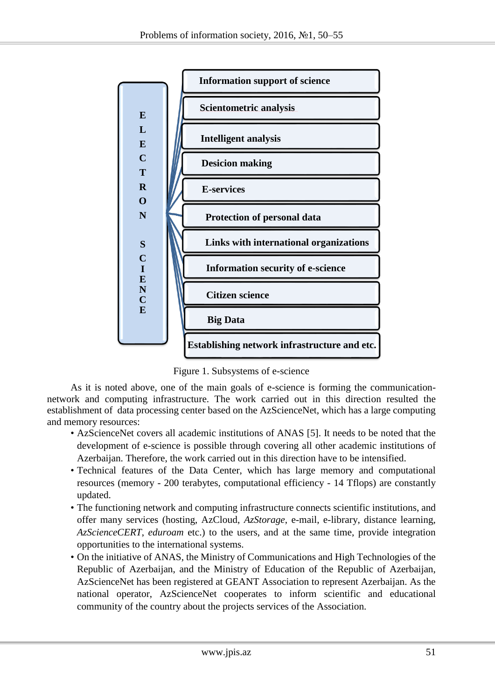

Figure 1. Subsystems of e-science

As it is noted above, one of the main goals of e-science is forming the communicationnetwork and computing infrastructure. The work carried out in this direction resulted the establishment of data processing center based on the AzScienceNet, which has a large computing and memory resources:

- AzScienceNet covers all academic institutions of ANAS [5]. It needs to be noted that the development of e-science is possible through covering all other academic institutions of Azerbaijan. Therefore, the work carried out in this direction have to be intensified.
- Technical features of the Data Center, which has large memory and computational resources (memory - 200 terabytes, computational efficiency - 14 Tflops) are constantly updated.
- The functioning network and computing infrastructure connects scientific institutions, and offer many services (hosting, AzCloud, *AzStorage*, e-mail, e-library, distance learning, *AzScienceCERT*, *eduroam* etc.) to the users, and at the same time, provide integration opportunities to the international systems.
- On the initiative of ANAS, the Ministry of Communications and High Technologies of the Republic of Azerbaijan, and the Ministry of Education of the Republic of Azerbaijan, AzScienceNet has been registered at GEANT Association to represent Azerbaijan. As the national operator, AzScienceNet cooperates to inform scientific and educational community of the country about the projects services of the Association.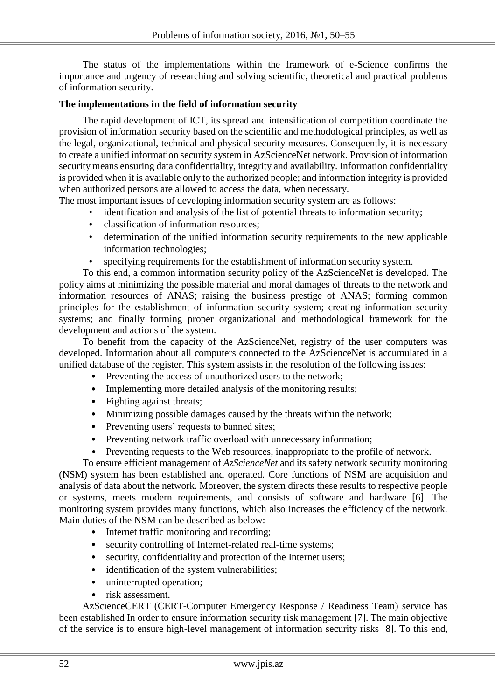The status of the implementations within the framework of e-Science confirms the importance and urgency of researching and solving scientific, theoretical and practical problems of information security.

#### **The implementations in the field of information security**

The rapid development of ICT, its spread and intensification of competition coordinate the provision of information security based on the scientific and methodological principles, as well as the legal, organizational, technical and physical security measures. Consequently, it is necessary to create a unified information security system in AzScienceNet network. Provision of information security means ensuring data confidentiality, integrity and availability. Information confidentiality is provided when it is available only to the authorized people; and information integrity is provided when authorized persons are allowed to access the data, when necessary.

The most important issues of developing information security system are as follows:

- identification and analysis of the list of potential threats to information security;
- classification of information resources;
- determination of the unified information security requirements to the new applicable information technologies;
- specifying requirements for the establishment of information security system.

To this end, a common information security policy of the AzScienceNet is developed. The policy aims at minimizing the possible material and moral damages of threats to the network and information resources of ANAS; raising the business prestige of ANAS; forming common principles for the establishment of information security system; creating information security systems; and finally forming proper organizational and methodological framework for the development and actions of the system.

To benefit from the capacity of the AzScienceNet, registry of the user computers was developed. Information about all computers connected to the AzScienceNet is accumulated in a unified database of the register. This system assists in the resolution of the following issues:

- Preventing the access of unauthorized users to the network;
- Implementing more detailed analysis of the monitoring results;
- Fighting against threats;
- Minimizing possible damages caused by the threats within the network;
- Preventing users' requests to banned sites;
- Preventing network traffic overload with unnecessary information;
- Preventing requests to the Web resources, inappropriate to the profile of network.

To ensure efficient management of *AzScienceNet* and its safety network security monitoring (NSM) system has been established and operated. Core functions of NSM are acquisition and analysis of data about the network. Moreover, the system directs these results to respective people or systems, meets modern requirements, and consists of software and hardware [6]. The monitoring system provides many functions, which also increases the efficiency of the network. Main duties of the NSM can be described as below:

- Internet traffic monitoring and recording;
- security controlling of Internet-related real-time systems;
- security, confidentiality and protection of the Internet users;
- identification of the system vulnerabilities:
- uninterrupted operation;
- risk assessment.

AzScienceCERT (CERT-Computer Emergency Response / Readiness Team) service has been established In order to ensure information security risk management [7]. The main objective of the service is to ensure high-level management of information security risks [8]. To this end,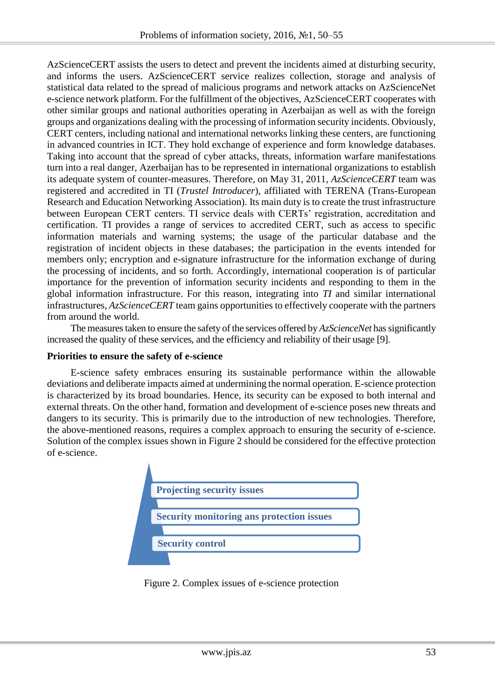AzScienceCERT assists the users to detect and prevent the incidents aimed at disturbing security, and informs the users. AzScienceCERT service realizes collection, storage and analysis of statistical data related to the spread of malicious programs and network attacks on AzScienceNet e-science network platform. For the fulfillment of the objectives, AzScienceCERT cooperates with other similar groups and national authorities operating in Azerbaijan as well as with the foreign groups and organizations dealing with the processing of information security incidents. Obviously, CERT centers, including national and international networks linking these centers, are functioning in advanced countries in ICT. They hold exchange of experience and form knowledge databases. Taking into account that the spread of cyber attacks, threats, information warfare manifestations turn into a real danger, Azerbaijan has to be represented in international organizations to establish its adequate system of counter-measures. Therefore, on May 31, 2011, *AzScienceCERT* team was registered and accredited in TI (*Trustel Introducer*), affiliated with TERENA (Trans-European Research and Education Networking Association). Its main duty is to create the trust infrastructure between European CERT centers. TI service deals with CERTs' registration, accreditation and certification. TI provides a range of services to accredited CERT, such as access to specific information materials and warning systems; the usage of the particular database and the registration of incident objects in these databases; the participation in the events intended for members only; encryption and e-signature infrastructure for the information exchange of during the processing of incidents, and so forth. Accordingly, international cooperation is of particular importance for the prevention of information security incidents and responding to them in the global information infrastructure. For this reason, integrating into *TI* and similar international infrastructures, *AzScienceCERT* team gains opportunities to effectively cooperate with the partners from around the world.

The measures taken to ensure the safety of the services offered by *AzScienceNet* has significantly increased the quality of these services, and the efficiency and reliability of their usage [9].

### **Priorities to ensure the safety of e-science**

E-science safety embraces ensuring its sustainable performance within the allowable deviations and deliberate impacts aimed at undermining the normal operation. E-science protection is characterized by its broad boundaries. Hence, its security can be exposed to both internal and external threats. On the other hand, formation and development of e-science poses new threats and dangers to its security. This is primarily due to the introduction of new technologies. Therefore, the above-mentioned reasons, requires a complex approach to ensuring the security of e-science. Solution of the complex issues shown in Figure 2 should be considered for the effective protection of e-science.



Figure 2. Complex issues of e-science protection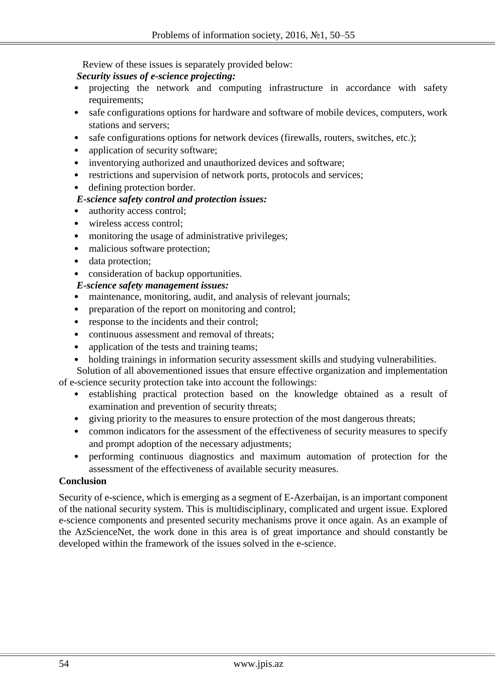Review of these issues is separately provided below:

### *Security issues of e-science projecting:*

- projecting the network and computing infrastructure in accordance with safety requirements;
- safe configurations options for hardware and software of mobile devices, computers, work stations and servers;
- safe configurations options for network devices (firewalls, routers, switches, etc.);
- application of security software:
- inventorying authorized and unauthorized devices and software;
- restrictions and supervision of network ports, protocols and services;
- defining protection border.

# *E-science safety control and protection issues:*

- authority access control;
- wireless access control:
- monitoring the usage of administrative privileges;
- malicious software protection;
- data protection;
- consideration of backup opportunities.

# *E-science safety management issues:*

- maintenance, monitoring, audit, and analysis of relevant journals;
- preparation of the report on monitoring and control;
- response to the incidents and their control;
- continuous assessment and removal of threats;
- application of the tests and training teams;
- holding trainings in information security assessment skills and studying vulnerabilities.

Solution of all abovementioned issues that ensure effective organization and implementation of e-science security protection take into account the followings:

- establishing practical protection based on the knowledge obtained as a result of examination and prevention of security threats;
- giving priority to the measures to ensure protection of the most dangerous threats;
- common indicators for the assessment of the effectiveness of security measures to specify and prompt adoption of the necessary adjustments;
- performing continuous diagnostics and maximum automation of protection for the assessment of the effectiveness of available security measures.

### **Conclusion**

Security of e-science, which is emerging as a segment of E-Azerbaijan, is an important component of the national security system. This is multidisciplinary, complicated and urgent issue. Explored e-science components and presented security mechanisms prove it once again. As an example of the AzScienceNet, the work done in this area is of great importance and should constantly be developed within the framework of the issues solved in the e-science.